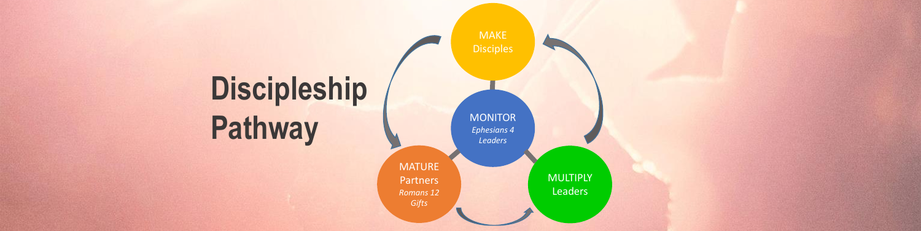

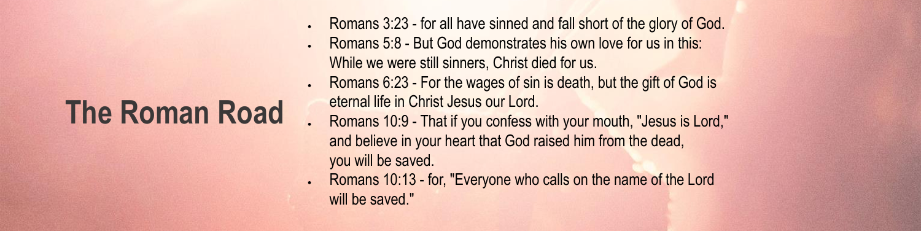### **The Roman Road**

- Romans 3:23 for all have sinned and fall short of the glory of God. Romans 5:8 - But God demonstrates his own love for us in this: While we were still sinners, Christ died for us.
- Romans 6:23 For the wages of sin is death, but the gift of God is eternal life in Christ Jesus our Lord.
- Romans 10:9 That if you confess with your mouth, "Jesus is Lord," and believe in your heart that God raised him from the dead, you will be saved.
- Romans 10:13 for, "Everyone who calls on the name of the Lord will be saved."

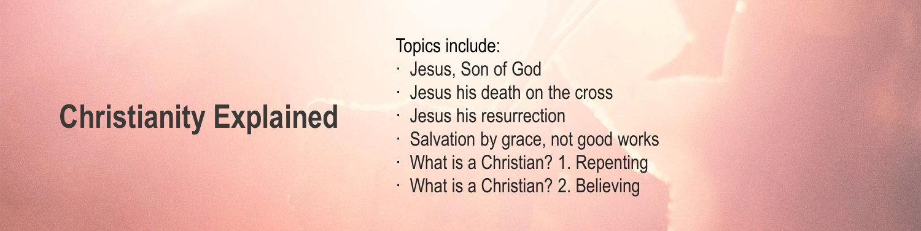## **Christianity Explained**

### Topics include:

- · Jesus, Son of God
- · Jesus his death on the cross
- · Jesus his resurrection
- · Salvation by grace, not good works · What is a Christian? 1. Repenting · What is a Christian? 2. Believing

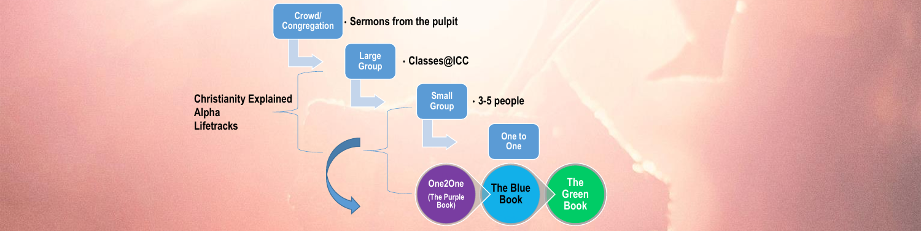

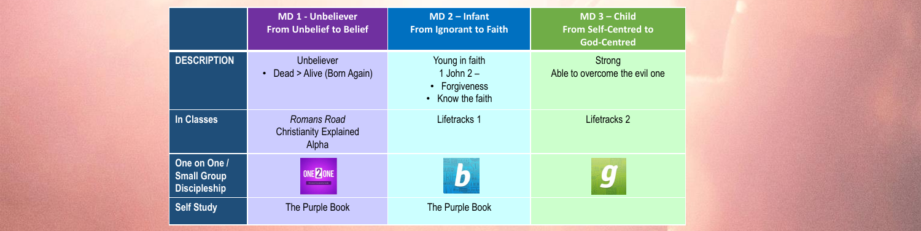|                                                           | <b>MD 1 - Unbeliever</b><br><b>From Unbelief to Belief</b>   | $MD 2 - Infant$<br><b>From Ignorant to Faith</b>                   | $MD 3 - Child$<br><b>From Self-Centred to</b><br><b>God-Centred</b> |
|-----------------------------------------------------------|--------------------------------------------------------------|--------------------------------------------------------------------|---------------------------------------------------------------------|
| <b>DESCRIPTION</b>                                        | <b>Unbeliever</b><br>Dead > Alive (Born Again)               | Young in faith<br>1 John $2-$<br>• Forgiveness<br>• Know the faith | Strong<br>Able to overcome the evil one                             |
| In Classes                                                | <b>Romans Road</b><br><b>Christianity Explained</b><br>Alpha | Lifetracks 1                                                       | Lifetracks 2                                                        |
| One on One /<br><b>Small Group</b><br><b>Discipleship</b> | ONE 2 ONE<br>Personal Discipleship Guide                     |                                                                    | $\bigcirc$                                                          |
| <b>Self Study</b>                                         | The Purple Book                                              | The Purple Book                                                    |                                                                     |

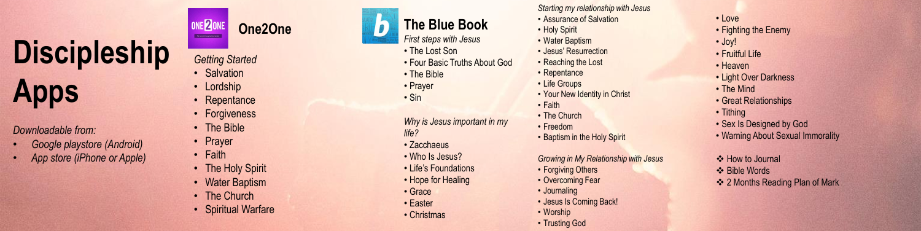

- Salvation
- Lordship
- Repentance
- Forgiveness
- The Bible
- Prayer
- Faith
- The Holy Spirit
- Water Baptism
- The Church
- Spiritual Warfare

*Getting Started* 



*First steps with Jesus*

- The Lost Son
- Four Basic Truths About God
- The Bible
- Prayer
- Sin

*Why is Jesus important in my life?*

- Zacchaeus
- Who Is Jesus?
- Life's Foundations
- Hope for Healing
- Grace
- Easter
- Christmas
- Forgiving Others
- Overcoming Fear
- Journaling
- Jesus Is Coming Back!
- Worship
- Trusting God

*Starting my relationship with Jesus*

- Tithing • Sex Is Designed by God • Warning About Sexual Immorality How to Journal **❖ Bible Words**
- 
- Assurance of Salvation
- Holy Spirit
- Water Baptism
- Jesus' Resurrection
- Reaching the Lost
- Repentance
- Life Groups
- Your New Identity in Christ
- Faith
- The Church
- Freedom
- Baptism in the Holy Spirit

*Growing in My Relationship with Jesus*

- Love
- Fighting the Enemy
- Joy!
- Fruitful Life
- Heaven
- Light Over Darkness
- The Mind
- Great Relationships

 $\div$  **2 Months Reading Plan of Mark** 

# **Discipleship**

### **Apps**

*Downloadable from:*

- *Google playstore (Android)*
- *App store (iPhone or Apple)*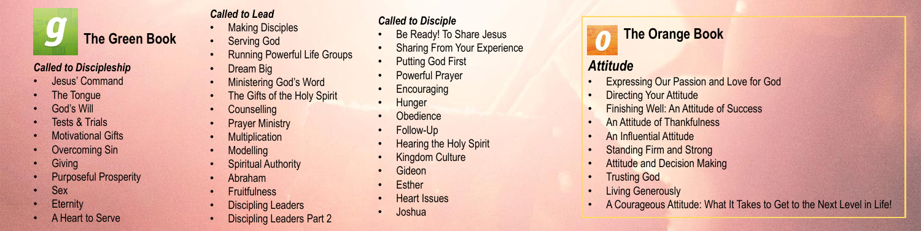

#### *Called to Discipleship*

- Jesus' Command
- **The Tongue**
- **God's Will**
- **Fests & Trials**
- Motivational Gifts
- **Overcoming Sin**
- **Giving**
- Purposeful Prosperity
- Sex
- **Eternity**
- A Heart to Serve

#### *Called to Lead*

- **Making Disciples**
- Serving God
- Running Powerful Life Groups
- Dream Big
- Ministering God's Word
- The Gifts of the Holy Spirit
- Counselling
- **Prayer Ministry**
- **Multiplication**
- **Modelling**
- **Spiritual Authority**
- Abraham
- **Fruitfulness**
- **Discipling Leaders**
- Discipling Leaders Part 2
- Expressing Our Passion and Love for God
- **Directing Your Attitude**
- Finishing Well: An Attitude of Success
- **An Attitude of Thankfulness**
- An Influential Attitude
- **Standing Firm and Strong**
- **Attitude and Decision Making**
- **Trusting God**
- **Living Generously**
- 

#### *Called to Disciple*

- Be Ready! To Share Jesus
- **Sharing From Your Experience**
- **Putting God First**
- **Powerful Prayer**
- **Encouraging**
- **Hunger**
- **Obedience**
- Follow-Up
- Hearing the Holy Spirit
- **Kingdom Culture**
- Gideon
- **Esther**
- Heart Issues
- Joshua

### **The Orange Book**

### *Attitude*

• A Courageous Attitude: What It Takes to Get to the Next Level in Life!